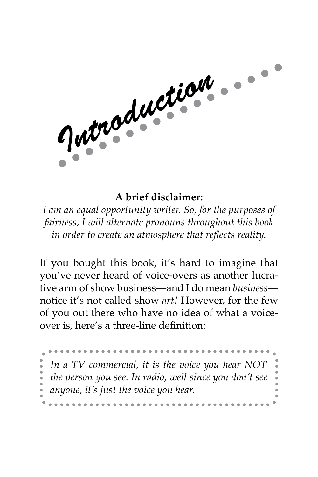Jutroduction.

## **A brief disclaimer:**

*I am an equal opportunity writer. So, for the purposes of fairness, I will alternate pronouns throughout this book in order to create an atmosphere that reflects reality.*

If you bought this book, it's hard to imagine that you've never heard of voice-overs as another lucrative arm of show business—and I do mean *business* notice it's not called show *art!* However, for the few of you out there who have no idea of what a voiceover is, here's a three-line definition:

 $\bullet\bullet\bullet\bullet\bullet$ *In a TV commercial, it is the voice you hear NOT the person you see. In radio, well since you don't see anyone, it's just the voice you hear.*. . . . . . . . . . . .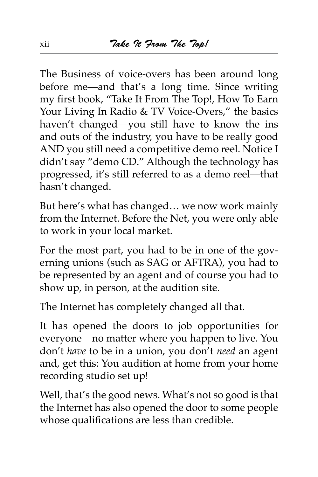The Business of voice-overs has been around long before me—and that's a long time. Since writing my first book, "Take It From The Top!, How To Earn Your Living In Radio & TV Voice-Overs," the basics haven't changed—you still have to know the ins and outs of the industry, you have to be really good AND you still need a competitive demo reel. Notice I didn't say "demo CD." Although the technology has progressed, it's still referred to as a demo reel—that hasn't changed.

But here's what has changed… we now work mainly from the Internet. Before the Net, you were only able to work in your local market.

For the most part, you had to be in one of the governing unions (such as SAG or AFTRA), you had to be represented by an agent and of course you had to show up, in person, at the audition site.

The Internet has completely changed all that.

It has opened the doors to job opportunities for everyone—no matter where you happen to live. You don't *have* to be in a union, you don't *need* an agent and, get this: You audition at home from your home recording studio set up!

Well, that's the good news. What's not so good is that the Internet has also opened the door to some people whose qualifications are less than credible.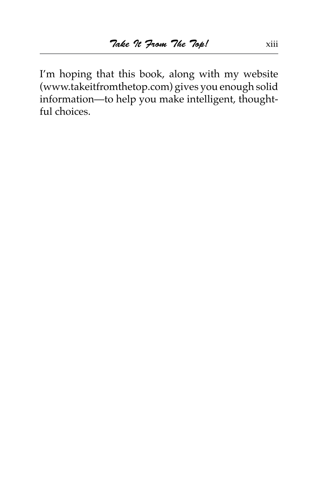I'm hoping that this book, along with my website (www.takeitfromthetop.com) gives you enough solid information—to help you make intelligent, thoughtful choices.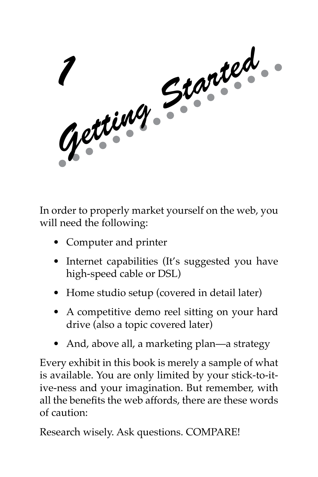

In order to properly market yourself on the web, you will need the following:

- Computer and printer
- Internet capabilities (It's suggested you have high-speed cable or DSL)
- Home studio setup (covered in detail later)
- A competitive demo reel sitting on your hard drive (also a topic covered later)
- And, above all, a marketing plan—a strategy

Every exhibit in this book is merely a sample of what is available. You are only limited by your stick-to-itive-ness and your imagination. But remember, with all the benefits the web affords, there are these words of caution:

Research wisely. Ask questions. COMPARE!